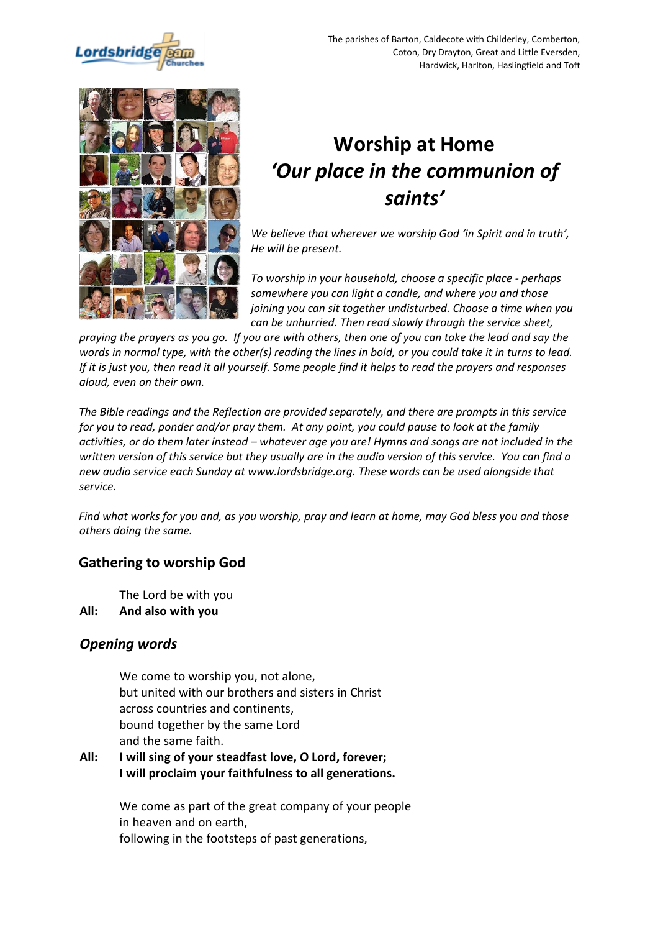



# **Worship at Home**  *'Our place in the communion of saints'*

*We believe that wherever we worship God 'in Spirit and in truth', He will be present.* 

*To worship in your household, choose a specific place - perhaps somewhere you can light a candle, and where you and those joining you can sit together undisturbed. Choose a time when you can be unhurried. Then read slowly through the service sheet,* 

*praying the prayers as you go. If you are with others, then one of you can take the lead and say the words in normal type, with the other(s) reading the lines in bold, or you could take it in turns to lead. If it is just you, then read it all yourself. Some people find it helps to read the prayers and responses aloud, even on their own.* 

*The Bible readings and the Reflection are provided separately, and there are prompts in this service for you to read, ponder and/or pray them. At any point, you could pause to look at the family activities, or do them later instead – whatever age you are! Hymns and songs are not included in the written version of this service but they usually are in the audio version of this service. You can find a new audio service each Sunday at www.lordsbridge.org. These words can be used alongside that service.*

*Find what works for you and, as you worship, pray and learn at home, may God bless you and those others doing the same.* 

# **Gathering to worship God**

The Lord be with you

### **All: And also with you**

# *Opening words*

We come to worship you, not alone, but united with our brothers and sisters in Christ across countries and continents, bound together by the same Lord and the same faith.

**All: I will sing of your steadfast love, O Lord, forever; I will proclaim your faithfulness to all generations.**

> We come as part of the great company of your people in heaven and on earth, following in the footsteps of past generations,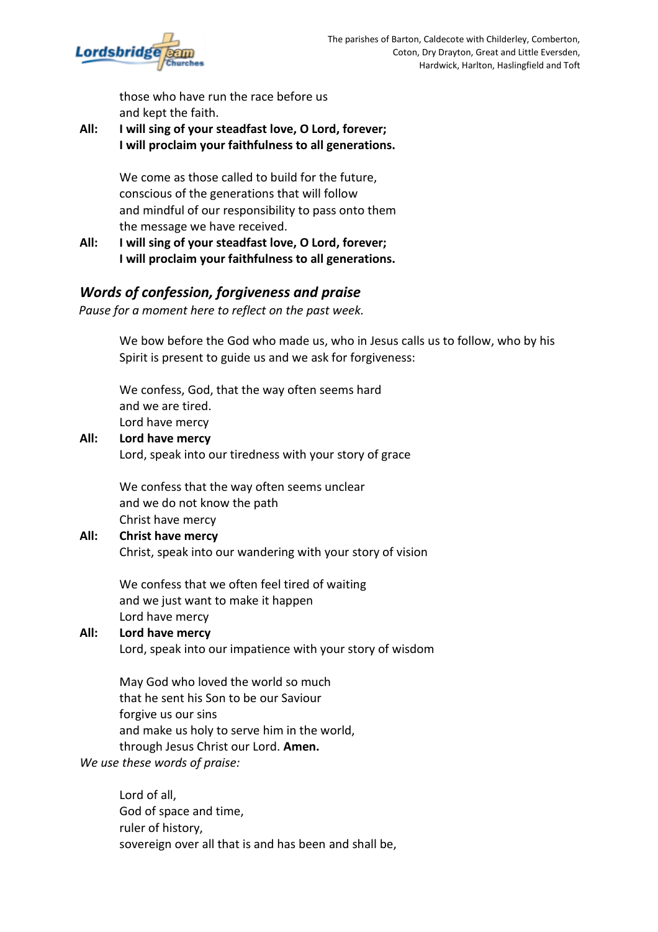

those who have run the race before us and kept the faith.

### **All: I will sing of your steadfast love, O Lord, forever; I will proclaim your faithfulness to all generations.**

We come as those called to build for the future, conscious of the generations that will follow and mindful of our responsibility to pass onto them the message we have received.

**All: I will sing of your steadfast love, O Lord, forever; I will proclaim your faithfulness to all generations.**

# *Words of confession, forgiveness and praise*

*Pause for a moment here to reflect on the past week.* 

We bow before the God who made us, who in Jesus calls us to follow, who by his Spirit is present to guide us and we ask for forgiveness:

We confess, God, that the way often seems hard and we are tired. Lord have mercy

### **All: Lord have mercy**

Lord, speak into our tiredness with your story of grace

We confess that the way often seems unclear and we do not know the path Christ have mercy

### **All: Christ have mercy**

Christ, speak into our wandering with your story of vision

We confess that we often feel tired of waiting and we just want to make it happen Lord have mercy

### **All: Lord have mercy**

Lord, speak into our impatience with your story of wisdom

May God who loved the world so much that he sent his Son to be our Saviour forgive us our sins and make us holy to serve him in the world, through Jesus Christ our Lord. **Amen.**

*We use these words of praise:*

Lord of all, God of space and time, ruler of history, sovereign over all that is and has been and shall be,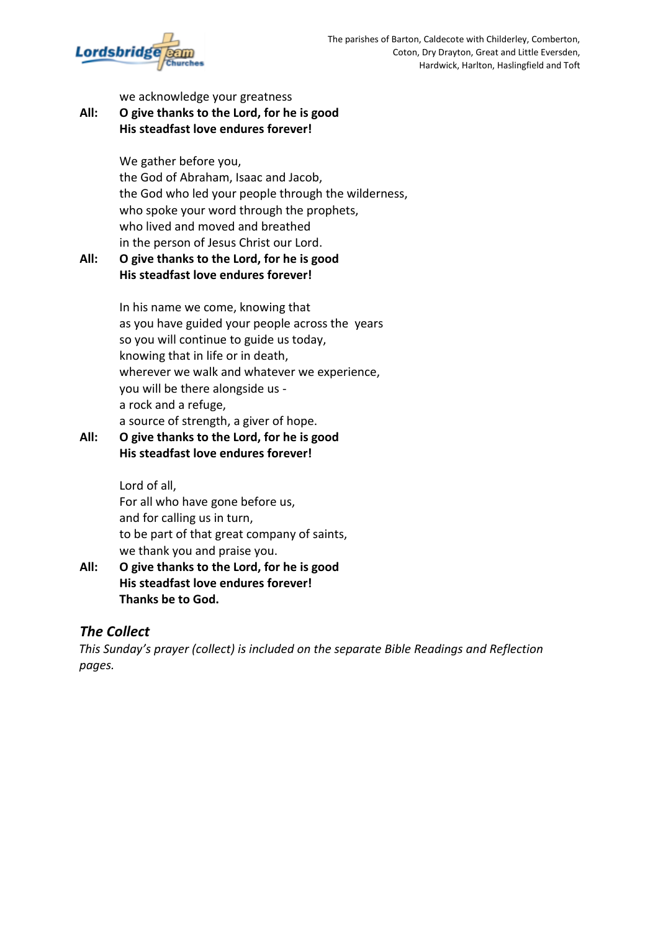

we acknowledge your greatness

### **All: O give thanks to the Lord, for he is good His steadfast love endures forever!**

We gather before you, the God of Abraham, Isaac and Jacob, the God who led your people through the wilderness, who spoke your word through the prophets, who lived and moved and breathed in the person of Jesus Christ our Lord.

### **All: O give thanks to the Lord, for he is good His steadfast love endures forever!**

In his name we come, knowing that as you have guided your people across the years so you will continue to guide us today, knowing that in life or in death, wherever we walk and whatever we experience, you will be there alongside us a rock and a refuge, a source of strength, a giver of hope.

# **All: O give thanks to the Lord, for he is good His steadfast love endures forever!**

Lord of all, For all who have gone before us, and for calling us in turn, to be part of that great company of saints, we thank you and praise you.

### **All: O give thanks to the Lord, for he is good His steadfast love endures forever! Thanks be to God.**

# *The Collect*

*This Sunday's prayer (collect) is included on the separate Bible Readings and Reflection pages.*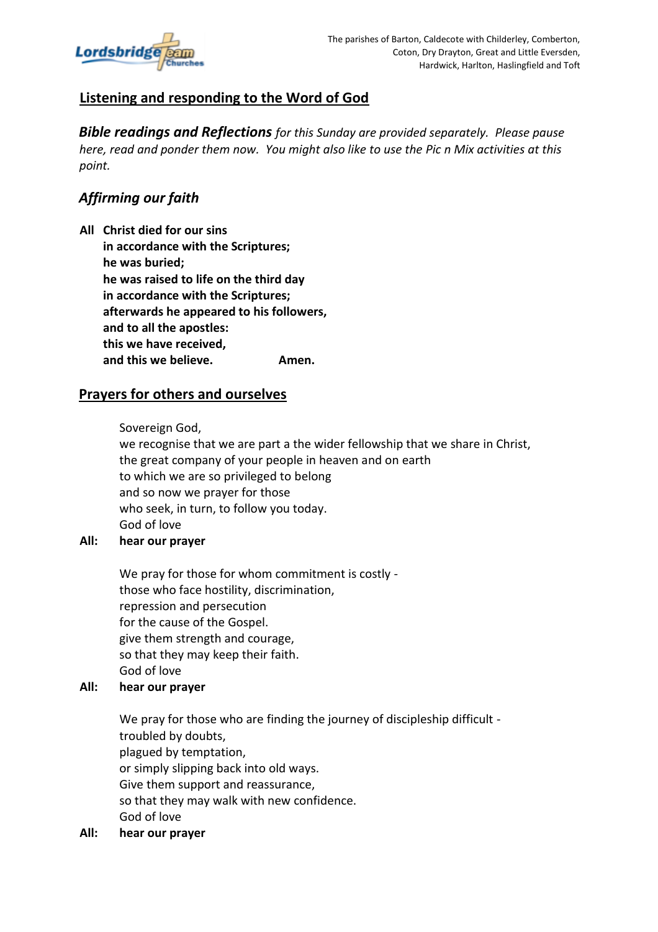

# **Listening and responding to the Word of God**

*Bible readings and Reflections for this Sunday are provided separately. Please pause here, read and ponder them now. You might also like to use the Pic n Mix activities at this point.*

# *Affirming our faith*

**All Christ died for our sins in accordance with the Scriptures; he was buried; he was raised to life on the third day in accordance with the Scriptures; afterwards he appeared to his followers, and to all the apostles: this we have received, and this we believe. Amen.**

# **Prayers for others and ourselves**

Sovereign God,

we recognise that we are part a the wider fellowship that we share in Christ, the great company of your people in heaven and on earth to which we are so privileged to belong and so now we prayer for those who seek, in turn, to follow you today. God of love

### **All: hear our prayer**

We pray for those for whom commitment is costly those who face hostility, discrimination, repression and persecution for the cause of the Gospel. give them strength and courage, so that they may keep their faith. God of love

### **All: hear our prayer**

We pray for those who are finding the journey of discipleship difficult troubled by doubts, plagued by temptation, or simply slipping back into old ways. Give them support and reassurance, so that they may walk with new confidence. God of love

### **All: hear our prayer**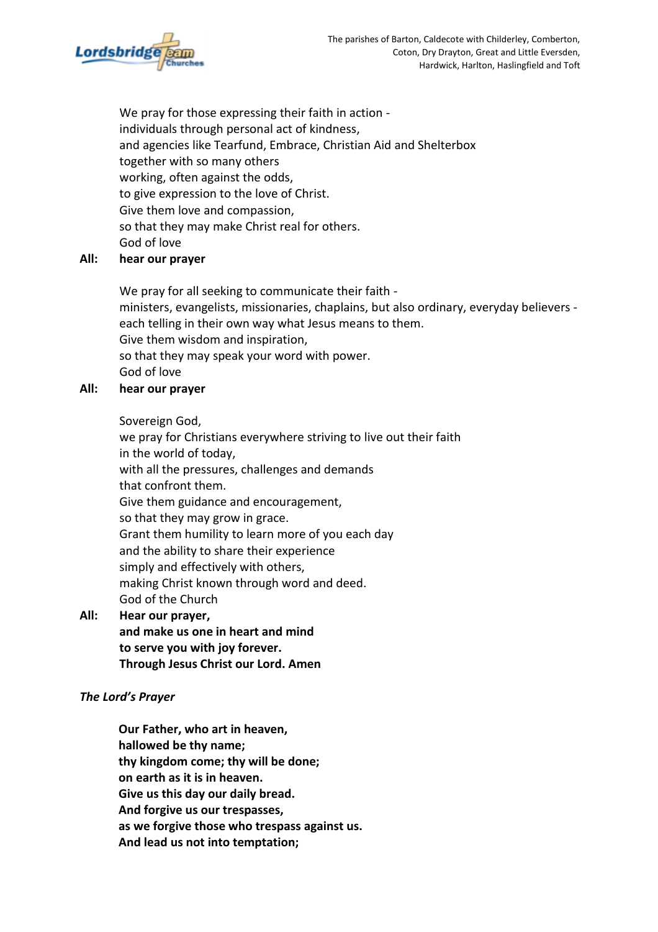

We pray for those expressing their faith in action individuals through personal act of kindness, and agencies like Tearfund, Embrace, Christian Aid and Shelterbox together with so many others working, often against the odds, to give expression to the love of Christ. Give them love and compassion, so that they may make Christ real for others. God of love

### **All: hear our prayer**

We pray for all seeking to communicate their faith ministers, evangelists, missionaries, chaplains, but also ordinary, everyday believers each telling in their own way what Jesus means to them. Give them wisdom and inspiration, so that they may speak your word with power. God of love

### **All: hear our prayer**

Sovereign God,

we pray for Christians everywhere striving to live out their faith in the world of today, with all the pressures, challenges and demands that confront them. Give them guidance and encouragement, so that they may grow in grace. Grant them humility to learn more of you each day and the ability to share their experience simply and effectively with others, making Christ known through word and deed. God of the Church

### **All: Hear our prayer, and make us one in heart and mind to serve you with joy forever. Through Jesus Christ our Lord. Amen**

### *The Lord's Prayer*

**Our Father, who art in heaven, hallowed be thy name; thy kingdom come; thy will be done; on earth as it is in heaven. Give us this day our daily bread. And forgive us our trespasses, as we forgive those who trespass against us. And lead us not into temptation;**